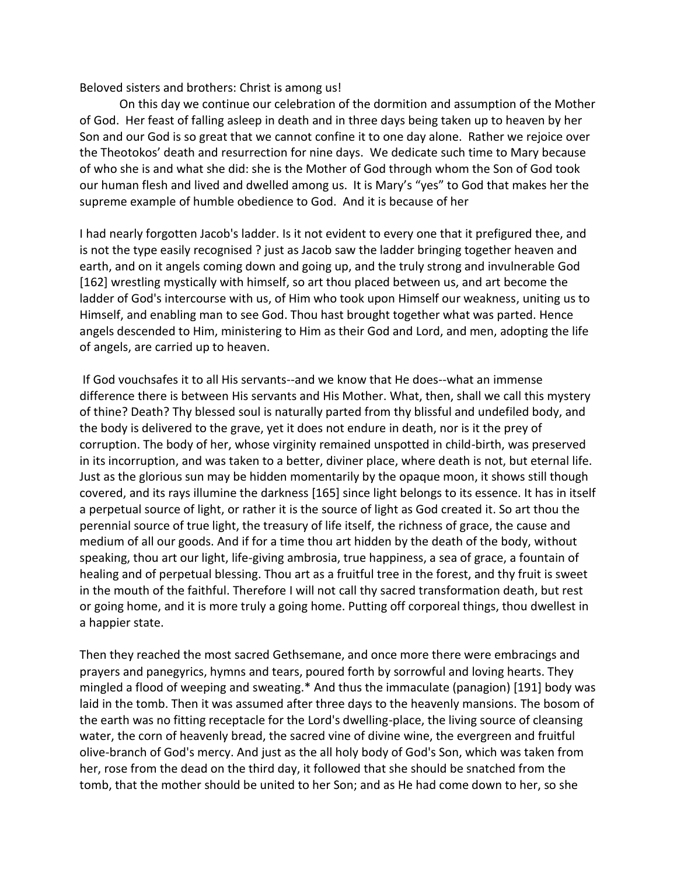Beloved sisters and brothers: Christ is among us!

On this day we continue our celebration of the dormition and assumption of the Mother of God. Her feast of falling asleep in death and in three days being taken up to heaven by her Son and our God is so great that we cannot confine it to one day alone. Rather we rejoice over the Theotokos' death and resurrection for nine days. We dedicate such time to Mary because of who she is and what she did: she is the Mother of God through whom the Son of God took our human flesh and lived and dwelled among us. It is Mary's "yes" to God that makes her the supreme example of humble obedience to God. And it is because of her

I had nearly forgotten Jacob's ladder. Is it not evident to every one that it prefigured thee, and is not the type easily recognised ? just as Jacob saw the ladder bringing together heaven and earth, and on it angels coming down and going up, and the truly strong and invulnerable God [162] wrestling mystically with himself, so art thou placed between us, and art become the ladder of God's intercourse with us, of Him who took upon Himself our weakness, uniting us to Himself, and enabling man to see God. Thou hast brought together what was parted. Hence angels descended to Him, ministering to Him as their God and Lord, and men, adopting the life of angels, are carried up to heaven.

If God vouchsafes it to all His servants--and we know that He does--what an immense difference there is between His servants and His Mother. What, then, shall we call this mystery of thine? Death? Thy blessed soul is naturally parted from thy blissful and undefiled body, and the body is delivered to the grave, yet it does not endure in death, nor is it the prey of corruption. The body of her, whose virginity remained unspotted in child-birth, was preserved in its incorruption, and was taken to a better, diviner place, where death is not, but eternal life. Just as the glorious sun may be hidden momentarily by the opaque moon, it shows still though covered, and its rays illumine the darkness [165] since light belongs to its essence. It has in itself a perpetual source of light, or rather it is the source of light as God created it. So art thou the perennial source of true light, the treasury of life itself, the richness of grace, the cause and medium of all our goods. And if for a time thou art hidden by the death of the body, without speaking, thou art our light, life-giving ambrosia, true happiness, a sea of grace, a fountain of healing and of perpetual blessing. Thou art as a fruitful tree in the forest, and thy fruit is sweet in the mouth of the faithful. Therefore I will not call thy sacred transformation death, but rest or going home, and it is more truly a going home. Putting off corporeal things, thou dwellest in a happier state.

Then they reached the most sacred Gethsemane, and once more there were embracings and prayers and panegyrics, hymns and tears, poured forth by sorrowful and loving hearts. They mingled a flood of weeping and sweating.\* And thus the immaculate (panagion) [191] body was laid in the tomb. Then it was assumed after three days to the heavenly mansions. The bosom of the earth was no fitting receptacle for the Lord's dwelling-place, the living source of cleansing water, the corn of heavenly bread, the sacred vine of divine wine, the evergreen and fruitful olive-branch of God's mercy. And just as the all holy body of God's Son, which was taken from her, rose from the dead on the third day, it followed that she should be snatched from the tomb, that the mother should be united to her Son; and as He had come down to her, so she